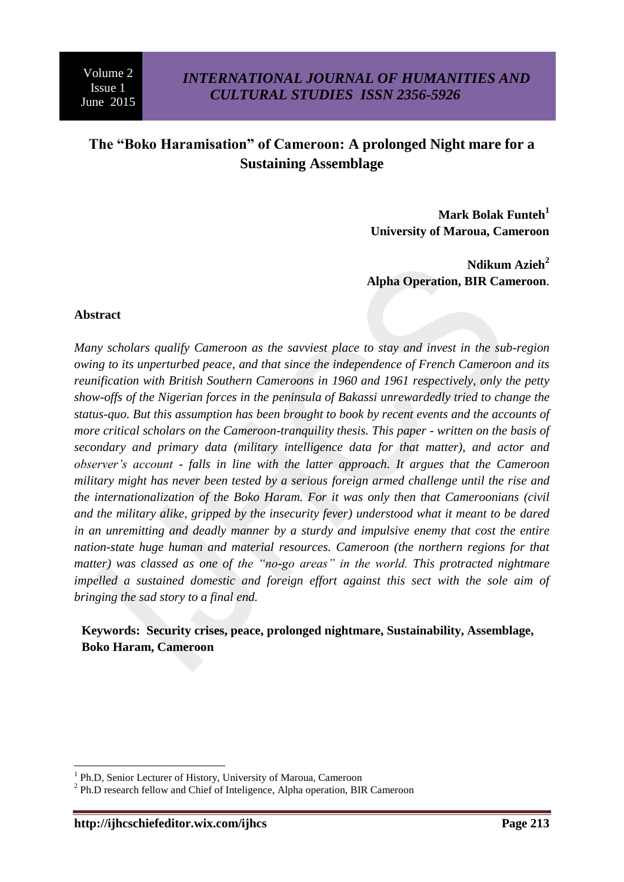# **The "Boko Haramisation" of Cameroon: A prolonged Night mare for a Sustaining Assemblage**

**Mark Bolak Funteh<sup>1</sup> University of Maroua, Cameroon**

**Ndikum Azieh<sup>2</sup> Alpha Operation, BIR Cameroon**.

### **Abstract**

*Many scholars qualify Cameroon as the savviest place to stay and invest in the sub-region owing to its unperturbed peace, and that since the independence of French Cameroon and its reunification with British Southern Cameroons in 1960 and 1961 respectively, only the petty show-offs of the Nigerian forces in the peninsula of Bakassi unrewardedly tried to change the status-quo. But this assumption has been brought to book by recent events and the accounts of more critical scholars on the Cameroon-tranquility thesis. This paper - written on the basis of secondary and primary data (military intelligence data for that matter), and actor and observer's account - falls in line with the latter approach. It argues that the Cameroon military might has never been tested by a serious foreign armed challenge until the rise and the internationalization of the Boko Haram. For it was only then that Cameroonians (civil and the military alike, gripped by the insecurity fever) understood what it meant to be dared in an unremitting and deadly manner by a sturdy and impulsive enemy that cost the entire nation-state huge human and material resources. Cameroon (the northern regions for that matter) was classed as one of the "no-go areas" in the world. This protracted nightmare impelled a sustained domestic and foreign effort against this sect with the sole aim of bringing the sad story to a final end.* 

**Keywords: Security crises, peace, prolonged nightmare, Sustainability, Assemblage, Boko Haram, Cameroon**

1

<sup>&</sup>lt;sup>1</sup> Ph.D, Senior Lecturer of History, University of Maroua, Cameroon

<sup>&</sup>lt;sup>2</sup> Ph.D research fellow and Chief of Inteligence, Alpha operation, BIR Cameroon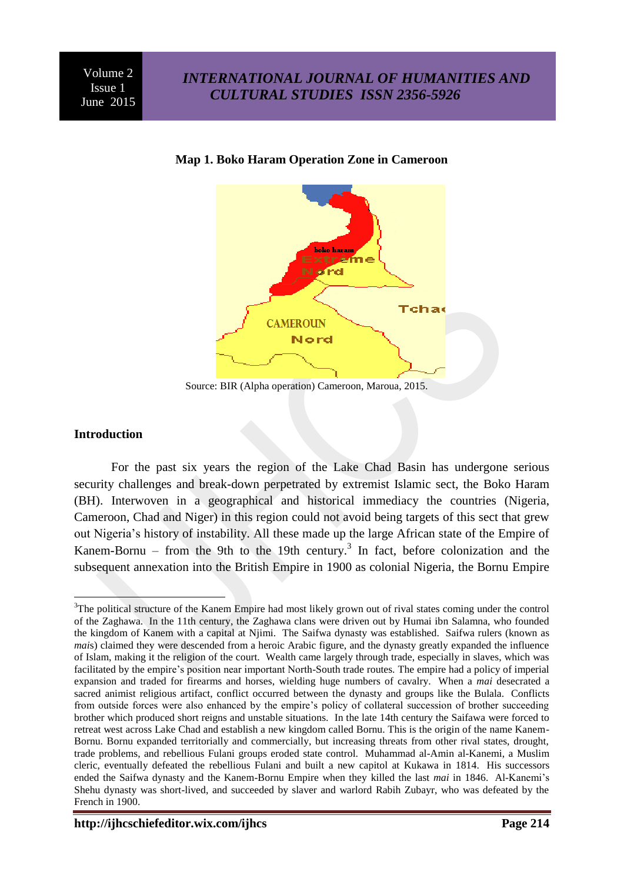

### **Map 1. Boko Haram Operation Zone in Cameroon**

Source: BIR (Alpha operation) Cameroon, Maroua, 2015.

### **Introduction**

For the past six years the region of the Lake Chad Basin has undergone serious security challenges and break-down perpetrated by extremist Islamic sect, the Boko Haram (BH). Interwoven in a geographical and historical immediacy the countries (Nigeria, Cameroon, Chad and Niger) in this region could not avoid being targets of this sect that grew out Nigeria's history of instability. All these made up the large African state of the Empire of Kanem-Bornu – from the 9th to the 19th century.<sup>3</sup> In fact, before colonization and the subsequent annexation into the British Empire in 1900 as colonial Nigeria, the Bornu Empire

<sup>1</sup> <sup>3</sup>The political structure of the Kanem Empire had most likely grown out of rival states coming under the control of the Zaghawa. In the 11th century, the Zaghawa clans were driven out by Humai ibn Salamna, who founded the kingdom of Kanem with a capital at Njimi. The Saifwa dynasty was established. Saifwa rulers (known as *mai*s) claimed they were descended from a heroic Arabic figure, and the dynasty greatly expanded the influence of Islam, making it the religion of the court. Wealth came largely through trade, especially in slaves, which was facilitated by the empire's position near important North-South trade routes. The empire had a policy of imperial expansion and traded for firearms and horses, wielding huge numbers of cavalry. When a *mai* desecrated a sacred animist religious artifact, conflict occurred between the dynasty and groups like the Bulala. Conflicts from outside forces were also enhanced by the empire's policy of collateral succession of brother succeeding brother which produced short reigns and unstable situations. In the late 14th century the Saifawa were forced to retreat west across Lake Chad and establish a new kingdom called Bornu. This is the origin of the name Kanem-Bornu. Bornu expanded territorially and commercially, but increasing threats from other rival states, drought, trade problems, and rebellious Fulani groups eroded state control. Muhammad al-Amin al-Kanemi, a Muslim cleric, eventually defeated the rebellious Fulani and built a new capitol at Kukawa in 1814. His successors ended the Saifwa dynasty and the Kanem-Bornu Empire when they killed the last *mai* in 1846. Al-Kanemi's Shehu dynasty was short-lived, and succeeded by slaver and warlord Rabih Zubayr, who was defeated by the [French](http://www.blackpast.org/entries-categories/france) in 1900.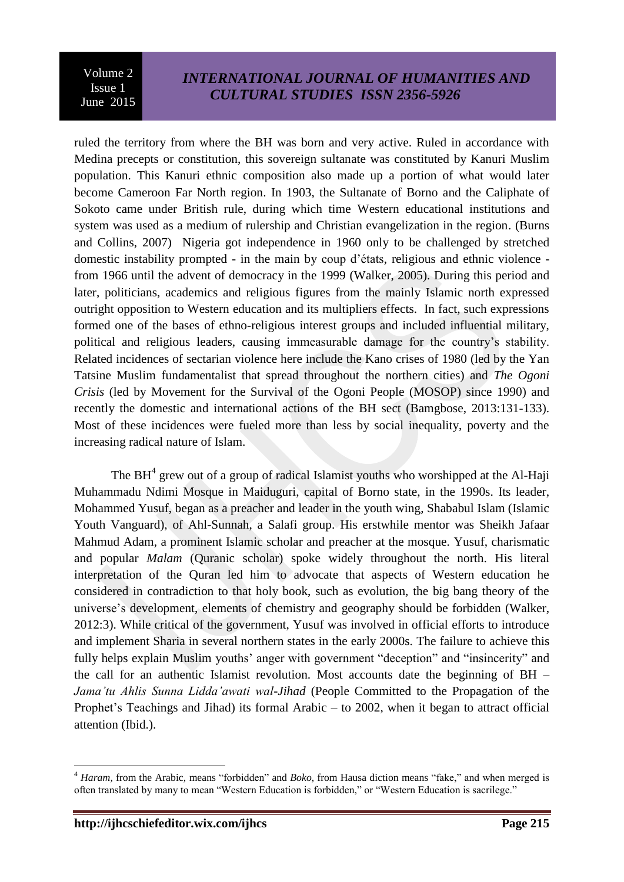ruled the territory from where the BH was born and very active. Ruled in accordance with Medina precepts or constitution, this sovereign sultanate was constituted by Kanuri Muslim population. This Kanuri ethnic composition also made up a portion of what would later become Cameroon Far North region. In 1903, the Sultanate of Borno and the Caliphate of Sokoto came under British rule, during which time Western educational institutions and system was used as a medium of rulership and Christian evangelization in the region. (Burns and Collins, 2007) Nigeria got independence in 1960 only to be challenged by stretched domestic instability prompted - in the main by coup d'états, religious and ethnic violence from 1966 until the advent of democracy in the 1999 (Walker, 2005). During this period and later, politicians, academics and religious figures from the mainly Islamic north expressed outright opposition to Western education and its multipliers effects. In fact, such expressions formed one of the bases of ethno-religious interest groups and included influential military, political and religious leaders, causing immeasurable damage for the country's stability. Related incidences of sectarian violence here include the Kano crises of 1980 (led by the Yan Tatsine Muslim fundamentalist that spread throughout the northern cities) and *The Ogoni Crisis* (led by Movement for the Survival of the Ogoni People (MOSOP) since 1990) and recently the domestic and international actions of the BH sect (Bamgbose, 2013:131-133). Most of these incidences were fueled more than less by social inequality, poverty and the increasing radical nature of Islam.

The  $BH<sup>4</sup>$  grew out of a group of radical Islamist youths who worshipped at the Al-Haji Muhammadu Ndimi Mosque in Maiduguri, capital of Borno state, in the 1990s. Its leader, Mohammed Yusuf, began as a preacher and leader in the youth wing, Shababul Islam (Islamic Youth Vanguard), of Ahl-Sunnah, a Salafi group. His erstwhile mentor was Sheikh Jafaar Mahmud Adam, a prominent Islamic scholar and preacher at the mosque. Yusuf, charismatic and popular *Malam* (Quranic scholar) spoke widely throughout the north. His literal interpretation of the Quran led him to advocate that aspects of Western education he considered in contradiction to that holy book, such as evolution, the big bang theory of the universe's development, elements of chemistry and geography should be forbidden (Walker, 2012:3). While critical of the government, Yusuf was involved in official efforts to introduce and implement Sharia in several northern states in the early 2000s. The failure to achieve this fully helps explain Muslim youths' anger with government "deception" and "insincerity" and the call for an authentic Islamist revolution. Most accounts date the beginning of BH – *Jama'tu Ahlis Sunna Lidda'awati wal-Jihad* (People Committed to the Propagation of the Prophet's Teachings and Jihad) its formal Arabic – to 2002, when it began to attract official attention (Ibid.).

1

<sup>&</sup>lt;sup>4</sup> *Haram*, from the Arabic, means "forbidden" and *Boko*, from Hausa diction means "fake," and when merged is often translated by many to mean "Western Education is forbidden," or "Western Education is sacrilege."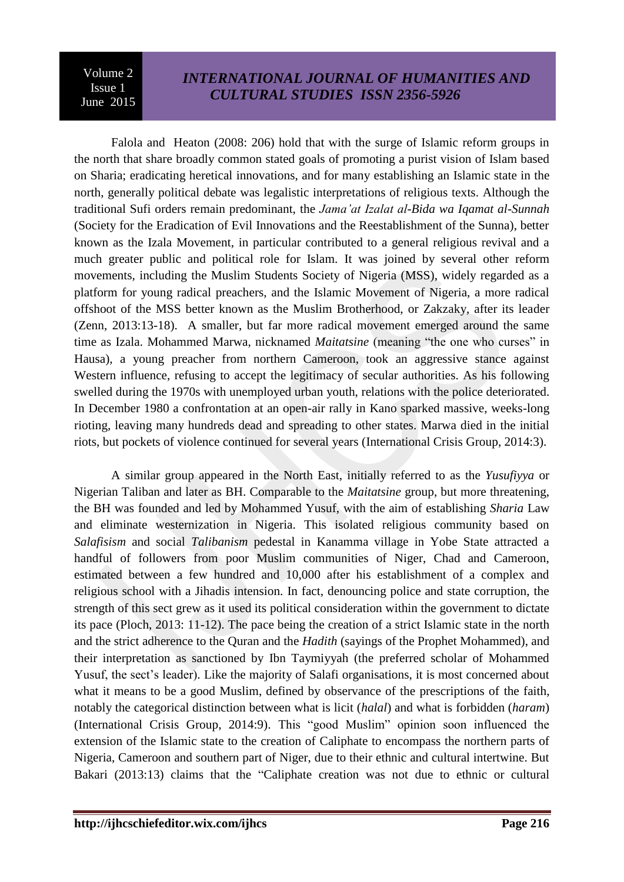## *INTERNATIONAL JOURNAL OF HUMANITIES AND CULTURAL STUDIES ISSN 2356-5926*

Falola and Heaton (2008: 206) hold that with the surge of Islamic reform groups in the north that share broadly common stated goals of promoting a purist vision of Islam based on Sharia; eradicating heretical innovations, and for many establishing an Islamic state in the north, generally political debate was legalistic interpretations of religious texts. Although the traditional Sufi orders remain predominant, the *Jama'at Izalat al-Bida wa Iqamat al-Sunnah* (Society for the Eradication of Evil Innovations and the Reestablishment of the Sunna), better known as the Izala Movement, in particular contributed to a general religious revival and a much greater public and political role for Islam. It was joined by several other reform movements, including the Muslim Students Society of Nigeria (MSS), widely regarded as a platform for young radical preachers, and the Islamic Movement of Nigeria, a more radical offshoot of the MSS better known as the Muslim Brotherhood, or Zakzaky, after its leader (Zenn, 2013:13-18). A smaller, but far more radical movement emerged around the same time as Izala. Mohammed Marwa, nicknamed *Maitatsine* (meaning "the one who curses" in Hausa), a young preacher from northern Cameroon, took an aggressive stance against Western influence, refusing to accept the legitimacy of secular authorities. As his following swelled during the 1970s with unemployed urban youth, relations with the police deteriorated. In December 1980 a confrontation at an open-air rally in Kano sparked massive, weeks-long rioting, leaving many hundreds dead and spreading to other states. Marwa died in the initial riots, but pockets of violence continued for several years (International Crisis Group, 2014:3).

A similar group appeared in the North East, initially referred to as the *Yusufiyya* or Nigerian Taliban and later as BH. Comparable to the *Maitatsine* group, but more threatening, the BH was founded and led by Mohammed Yusuf, with the aim of establishing *Sharia* Law and eliminate westernization in Nigeria. This isolated religious community based on *Salafisism* and social *Talibanism* pedestal in Kanamma village in Yobe State attracted a handful of followers from poor Muslim communities of Niger, Chad and Cameroon, estimated between a few hundred and 10,000 after his establishment of a complex and religious school with a Jihadis intension. In fact, denouncing police and state corruption, the strength of this sect grew as it used its political consideration within the government to dictate its pace (Ploch, 2013: 11-12). The pace being the creation of a strict Islamic state in the north and the strict adherence to the Quran and the *Hadith* (sayings of the Prophet Mohammed), and their interpretation as sanctioned by Ibn Taymiyyah (the preferred scholar of Mohammed Yusuf, the sect's leader). Like the majority of Salafi organisations, it is most concerned about what it means to be a good Muslim, defined by observance of the prescriptions of the faith, notably the categorical distinction between what is licit (*halal*) and what is forbidden (*haram*) (International Crisis Group, 2014:9). This "good Muslim" opinion soon influenced the extension of the Islamic state to the creation of Caliphate to encompass the northern parts of Nigeria, Cameroon and southern part of Niger, due to their ethnic and cultural intertwine. But Bakari (2013:13) claims that the "Caliphate creation was not due to ethnic or cultural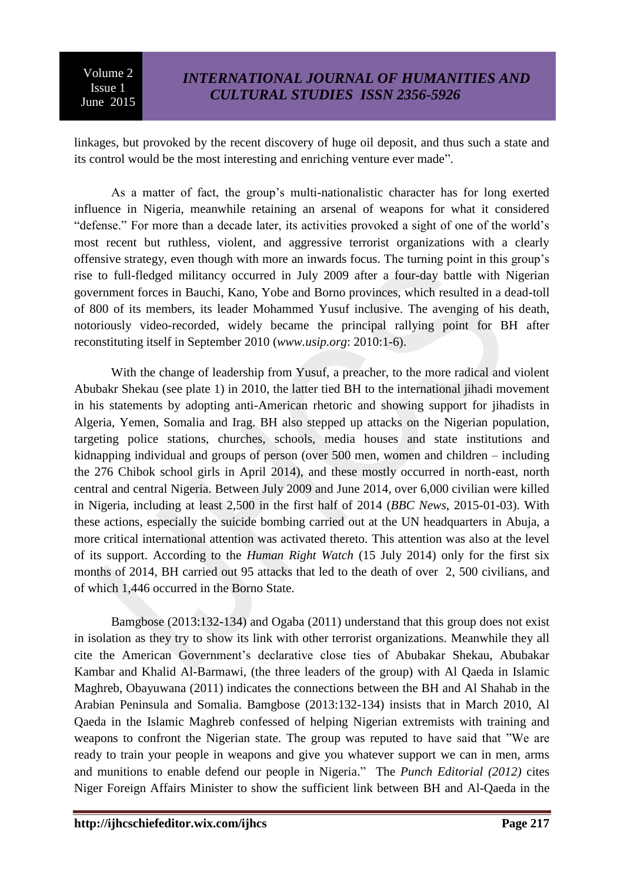linkages, but provoked by the recent discovery of huge oil deposit, and thus such a state and its control would be the most interesting and enriching venture ever made".

As a matter of fact, the group's multi-nationalistic character has for long exerted influence in Nigeria, meanwhile retaining an arsenal of weapons for what it considered "defense." For more than a decade later, its activities provoked a sight of one of the world's most recent but ruthless, violent, and aggressive terrorist organizations with a clearly offensive strategy, even though with more an inwards focus. The turning point in this group's rise to full-fledged militancy occurred in July 2009 after a four-day battle with Nigerian government forces in Bauchi, Kano, Yobe and Borno provinces, which resulted in a dead-toll of 800 of its members, its leader Mohammed Yusuf inclusive. The avenging of his death, notoriously video-recorded, widely became the principal rallying point for BH after reconstituting itself in September 2010 (*[www.usip.org](http://www.usip.org/)*: 2010:1-6).

With the change of leadership from Yusuf, a preacher, to the more radical and violent Abubakr Shekau (see plate 1) in 2010, the latter tied BH to the international jihadi movement in his statements by adopting anti-American rhetoric and showing support for jihadists in Algeria, Yemen, Somalia and Irag. BH also stepped up attacks on the Nigerian population, targeting police stations, churches, schools, media houses and state institutions and kidnapping individual and groups of person (over 500 men, women and children – including the 276 Chibok school girls in April 2014), and these mostly occurred in north-east, north central and central Nigeria. Between July 2009 and June 2014, over 6,000 civilian were killed in Nigeria, including at least 2,500 in the first half of 2014 (*BBC News*, 2015-01-03). With these actions, especially the suicide bombing carried out at the UN headquarters in Abuja, a more critical international attention was activated thereto. This attention was also at the level of its support. According to the *Human Right Watch* (15 July 2014) only for the first six months of 2014, BH carried out 95 attacks that led to the death of over 2, 500 civilians, and of which 1,446 occurred in the Borno State.

Bamgbose (2013:132-134) and Ogaba (2011) understand that this group does not exist in isolation as they try to show its link with other terrorist organizations. Meanwhile they all cite the American Government's declarative close ties of Abubakar Shekau, Abubakar Kambar and Khalid Al-Barmawi, (the three leaders of the group) with Al Qaeda in Islamic Maghreb, Obayuwana (2011) indicates the connections between the BH and Al Shahab in the Arabian Peninsula and Somalia. Bamgbose (2013:132-134) insists that in March 2010, Al Qaeda in the Islamic Maghreb confessed of helping Nigerian extremists with training and weapons to confront the Nigerian state. The group was reputed to have said that "We are ready to train your people in weapons and give you whatever support we can in men, arms and munitions to enable defend our people in Nigeria." The *Punch Editorial* (2012) cites Niger Foreign Affairs Minister to show the sufficient link between BH and Al-Qaeda in the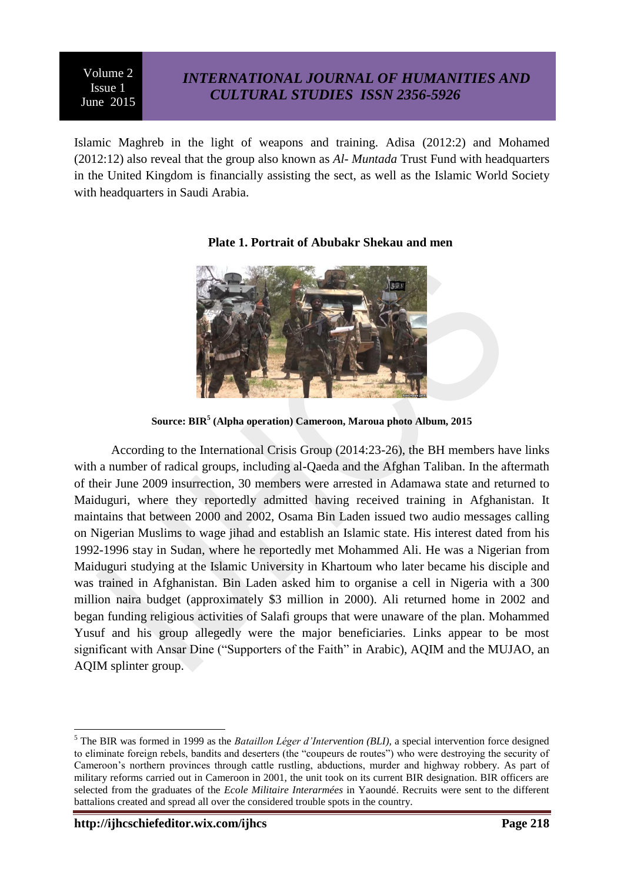## *INTERNATIONAL JOURNAL OF HUMANITIES AND CULTURAL STUDIES ISSN 2356-5926*

Islamic Maghreb in the light of weapons and training. Adisa (2012:2) and Mohamed (2012:12) also reveal that the group also known as *Al- Muntada* Trust Fund with headquarters in the United Kingdom is financially assisting the sect, as well as the Islamic World Society with headquarters in Saudi Arabia.



## **Plate 1. Portrait of Abubakr Shekau and men**

**Source: BIR<sup>5</sup> (Alpha operation) Cameroon, Maroua photo Album, 2015**

According to the International Crisis Group (2014:23-26), the BH members have links with a number of radical groups, including al-Qaeda and the Afghan Taliban. In the aftermath of their June 2009 insurrection, 30 members were arrested in Adamawa state and returned to Maiduguri, where they reportedly admitted having received training in Afghanistan. It maintains that between 2000 and 2002, Osama Bin Laden issued two audio messages calling on Nigerian Muslims to wage jihad and establish an Islamic state. His interest dated from his 1992-1996 stay in Sudan, where he reportedly met Mohammed Ali. He was a Nigerian from Maiduguri studying at the Islamic University in Khartoum who later became his disciple and was trained in Afghanistan. Bin Laden asked him to organise a cell in Nigeria with a 300 million naira budget (approximately \$3 million in 2000). Ali returned home in 2002 and began funding religious activities of Salafi groups that were unaware of the plan. Mohammed Yusuf and his group allegedly were the major beneficiaries. Links appear to be most significant with Ansar Dine ("Supporters of the Faith" in Arabic), AOIM and the MUJAO, an AQIM splinter group.

<sup>&</sup>lt;u>.</u> <sup>5</sup> The BIR was formed in 1999 as the *Bataillon Léger d'Intervention (BLI),* a special intervention force designed to eliminate foreign rebels, bandits and deserters (the "coupeurs de routes") who were destroying the security of Cameroon's northern provinces through cattle rustling, abductions, murder and highway robbery. As part of military reforms carried out in Cameroon in 2001, the unit took on its current BIR designation. BIR officers are selected from the graduates of the *Ecole Militaire Interarmées* in Yaoundé. Recruits were sent to the different battalions created and spread all over the considered trouble spots in the country.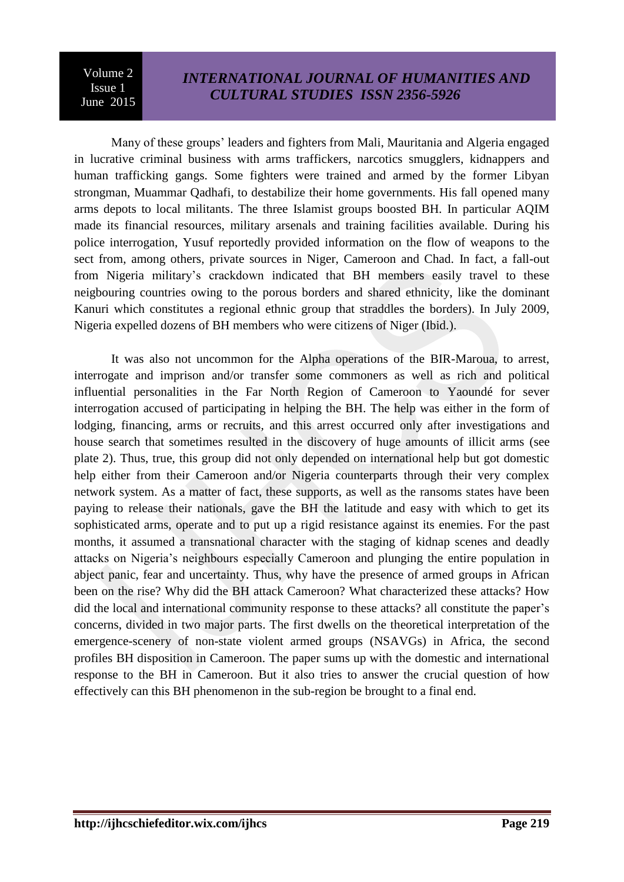## *INTERNATIONAL JOURNAL OF HUMANITIES AND CULTURAL STUDIES ISSN 2356-5926*

Many of these groups' leaders and fighters from Mali, Mauritania and Algeria engaged in lucrative criminal business with arms traffickers, narcotics smugglers, kidnappers and human trafficking gangs. Some fighters were trained and armed by the former Libyan strongman, Muammar Qadhafi, to destabilize their home governments. His fall opened many arms depots to local militants. The three Islamist groups boosted BH. In particular AQIM made its financial resources, military arsenals and training facilities available. During his police interrogation, Yusuf reportedly provided information on the flow of weapons to the sect from, among others, private sources in Niger, Cameroon and Chad. In fact, a fall-out from Nigeria military's crackdown indicated that BH members easily travel to these neigbouring countries owing to the porous borders and shared ethnicity, like the dominant Kanuri which constitutes a regional ethnic group that straddles the borders). In July 2009, Nigeria expelled dozens of BH members who were citizens of Niger (Ibid.).

It was also not uncommon for the Alpha operations of the BIR-Maroua, to arrest, interrogate and imprison and/or transfer some commoners as well as rich and political influential personalities in the Far North Region of Cameroon to Yaoundé for sever interrogation accused of participating in helping the BH. The help was either in the form of lodging, financing, arms or recruits, and this arrest occurred only after investigations and house search that sometimes resulted in the discovery of huge amounts of illicit arms (see plate 2). Thus, true, this group did not only depended on international help but got domestic help either from their Cameroon and/or Nigeria counterparts through their very complex network system. As a matter of fact, these supports, as well as the ransoms states have been paying to release their nationals, gave the BH the latitude and easy with which to get its sophisticated arms, operate and to put up a rigid resistance against its enemies. For the past months, it assumed a transnational character with the staging of kidnap scenes and deadly attacks on Nigeria's neighbours especially Cameroon and plunging the entire population in abject panic, fear and uncertainty. Thus, why have the presence of armed groups in African been on the rise? Why did the BH attack Cameroon? What characterized these attacks? How did the local and international community response to these attacks? all constitute the paper's concerns, divided in two major parts. The first dwells on the theoretical interpretation of the emergence-scenery of non-state violent armed groups (NSAVGs) in Africa, the second profiles BH disposition in Cameroon. The paper sums up with the domestic and international response to the BH in Cameroon. But it also tries to answer the crucial question of how effectively can this BH phenomenon in the sub-region be brought to a final end.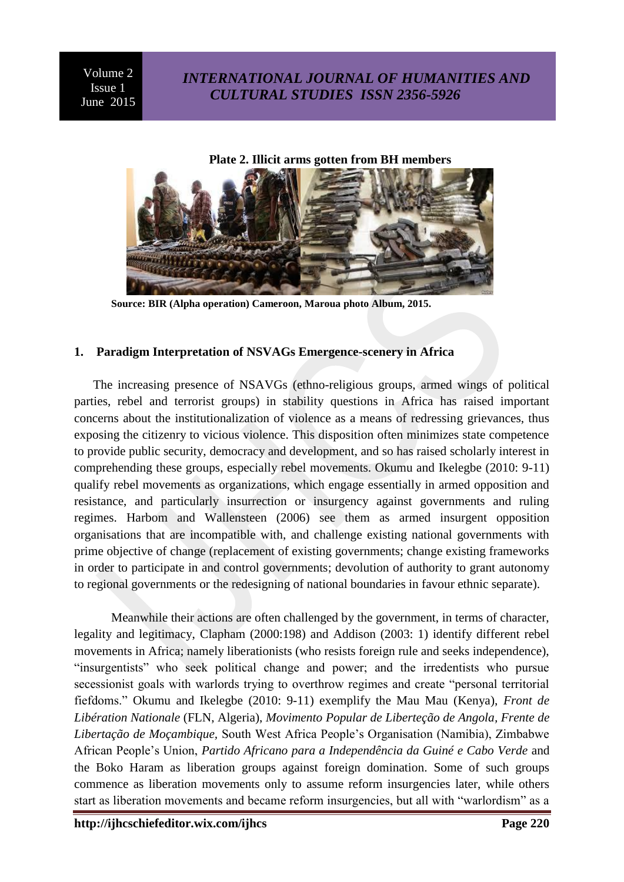## *INTERNATIONAL JOURNAL OF HUMANITIES AND CULTURAL STUDIES ISSN 2356-5926*

**Plate 2. Illicit arms gotten from BH members**



**Source: BIR (Alpha operation) Cameroon, Maroua photo Album, 2015.**

### **1. Paradigm Interpretation of NSVAGs Emergence-scenery in Africa**

The increasing presence of NSAVGs (ethno-religious groups, armed wings of political parties, rebel and terrorist groups) in stability questions in Africa has raised important concerns about the institutionalization of violence as a means of redressing grievances, thus exposing the citizenry to vicious violence. This disposition often minimizes state competence to provide public security, democracy and development, and so has raised scholarly interest in comprehending these groups, especially rebel movements. Okumu and Ikelegbe (2010: 9-11) qualify rebel movements as organizations, which engage essentially in armed opposition and resistance, and particularly insurrection or insurgency against governments and ruling regimes. Harbom and Wallensteen (2006) see them as armed insurgent opposition organisations that are incompatible with, and challenge existing national governments with prime objective of change (replacement of existing governments; change existing frameworks in order to participate in and control governments; devolution of authority to grant autonomy to regional governments or the redesigning of national boundaries in favour ethnic separate).

Meanwhile their actions are often challenged by the government, in terms of character, legality and legitimacy, Clapham (2000:198) and Addison (2003: 1) identify different rebel movements in Africa; namely liberationists (who resists foreign rule and seeks independence), "insurgentists" who seek political change and power; and the irredentists who pursue secessionist goals with warlords trying to overthrow regimes and create "personal territorial fiefdoms.‖ Okumu and Ikelegbe (2010: 9-11) exemplify the Mau Mau (Kenya), *Front de Libération Nationale* (FLN, Algeria), *Movimento Popular de Liberteção de Angola, Frente de Libertação de Moçambique,* South West Africa People's Organisation (Namibia), Zimbabwe African People's Union, *Partido Africano para a Independência da Guiné e Cabo Verde* and the Boko Haram as liberation groups against foreign domination. Some of such groups commence as liberation movements only to assume reform insurgencies later, while others start as liberation movements and became reform insurgencies, but all with "warlordism" as a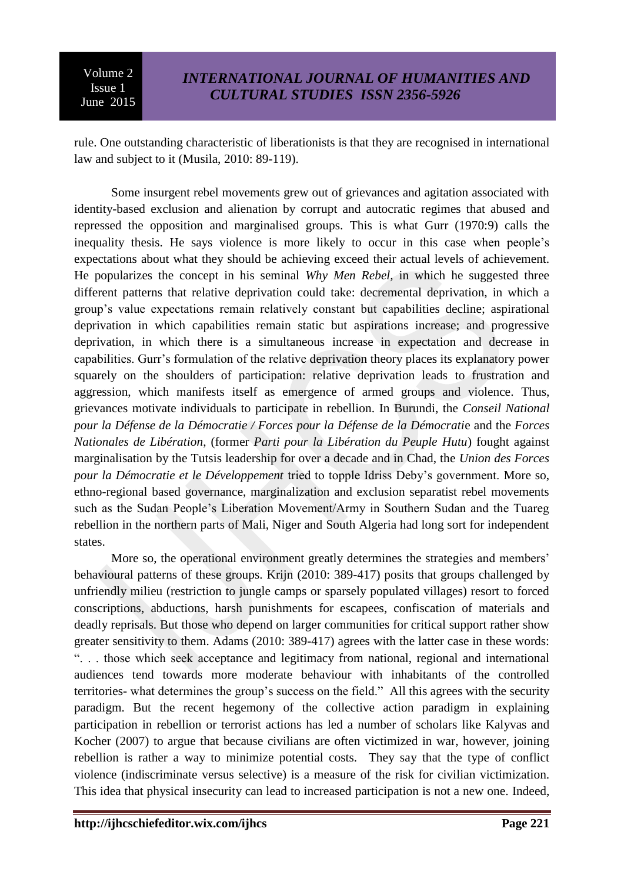rule. One outstanding characteristic of liberationists is that they are recognised in international law and subject to it (Musila, 2010: 89-119).

Some insurgent rebel movements grew out of grievances and agitation associated with identity-based exclusion and alienation by corrupt and autocratic regimes that abused and repressed the opposition and marginalised groups. This is what Gurr (1970:9) calls the inequality thesis. He says violence is more likely to occur in this case when people's expectations about what they should be achieving exceed their actual levels of achievement. He popularizes the concept in his seminal *Why Men Rebel,* in which he suggested three different patterns that relative deprivation could take: decremental deprivation, in which a group's value expectations remain relatively constant but capabilities decline; aspirational deprivation in which capabilities remain static but aspirations increase; and progressive deprivation, in which there is a simultaneous increase in expectation and decrease in capabilities. Gurr's formulation of the relative deprivation theory places its explanatory power squarely on the shoulders of participation: relative deprivation leads to frustration and aggression, which manifests itself as emergence of armed groups and violence. Thus, grievances motivate individuals to participate in rebellion. In Burundi, the *Conseil National pour la Défense de la Démocratie / Forces pour la Défense de la Démocrati*e and the *Forces Nationales de Libération*, (former *Parti pour la Libération du Peuple Hutu*) fought against marginalisation by the Tutsis leadership for over a decade and in Chad, the *Union des Forces pour la Démocratie et le Développement* tried to topple Idriss Deby's government. More so, ethno-regional based governance, marginalization and exclusion separatist rebel movements such as the Sudan People's Liberation Movement/Army in Southern Sudan and the Tuareg rebellion in the northern parts of Mali, Niger and South Algeria had long sort for independent states.

More so, the operational environment greatly determines the strategies and members' behavioural patterns of these groups. Krijn (2010: 389-417) posits that groups challenged by unfriendly milieu (restriction to jungle camps or sparsely populated villages) resort to forced conscriptions, abductions, harsh punishments for escapees, confiscation of materials and deadly reprisals. But those who depend on larger communities for critical support rather show greater sensitivity to them. Adams (2010: 389-417) agrees with the latter case in these words: ―. . . those which seek acceptance and legitimacy from national, regional and international audiences tend towards more moderate behaviour with inhabitants of the controlled territories- what determines the group's success on the field." All this agrees with the security paradigm. But the recent hegemony of the collective action paradigm in explaining participation in rebellion or terrorist actions has led a number of scholars like Kalyvas and Kocher (2007) to argue that because civilians are often victimized in war, however, joining rebellion is rather a way to minimize potential costs. They say that the type of conflict violence (indiscriminate versus selective) is a measure of the risk for civilian victimization. This idea that physical insecurity can lead to increased participation is not a new one. Indeed,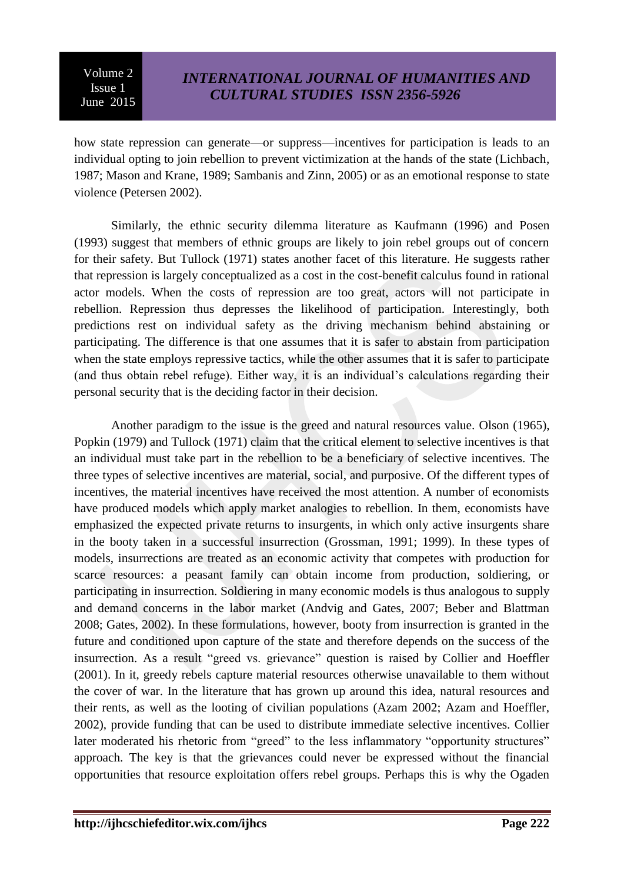how state repression can generate—or suppress—incentives for participation is leads to an individual opting to join rebellion to prevent victimization at the hands of the state (Lichbach, 1987; Mason and Krane, 1989; Sambanis and Zinn, 2005) or as an emotional response to state violence (Petersen 2002).

Similarly, the ethnic security dilemma literature as Kaufmann (1996) and Posen (1993) suggest that members of ethnic groups are likely to join rebel groups out of concern for their safety. But Tullock (1971) states another facet of this literature. He suggests rather that repression is largely conceptualized as a cost in the cost-benefit calculus found in rational actor models. When the costs of repression are too great, actors will not participate in rebellion. Repression thus depresses the likelihood of participation. Interestingly, both predictions rest on individual safety as the driving mechanism behind abstaining or participating. The difference is that one assumes that it is safer to abstain from participation when the state employs repressive tactics, while the other assumes that it is safer to participate (and thus obtain rebel refuge). Either way, it is an individual's calculations regarding their personal security that is the deciding factor in their decision.

Another paradigm to the issue is the greed and natural resources value. Olson (1965), Popkin (1979) and Tullock (1971) claim that the critical element to selective incentives is that an individual must take part in the rebellion to be a beneficiary of selective incentives. The three types of selective incentives are material, social, and purposive. Of the different types of incentives, the material incentives have received the most attention. A number of economists have produced models which apply market analogies to rebellion. In them, economists have emphasized the expected private returns to insurgents, in which only active insurgents share in the booty taken in a successful insurrection (Grossman, 1991; 1999). In these types of models, insurrections are treated as an economic activity that competes with production for scarce resources: a peasant family can obtain income from production, soldiering, or participating in insurrection. Soldiering in many economic models is thus analogous to supply and demand concerns in the labor market (Andvig and Gates, 2007; Beber and Blattman 2008; Gates, 2002). In these formulations, however, booty from insurrection is granted in the future and conditioned upon capture of the state and therefore depends on the success of the insurrection. As a result "greed vs. grievance" question is raised by Collier and Hoeffler (2001). In it, greedy rebels capture material resources otherwise unavailable to them without the cover of war. In the literature that has grown up around this idea, natural resources and their rents, as well as the looting of civilian populations (Azam 2002; Azam and Hoeffler, 2002), provide funding that can be used to distribute immediate selective incentives. Collier later moderated his rhetoric from "greed" to the less inflammatory "opportunity structures" approach. The key is that the grievances could never be expressed without the financial opportunities that resource exploitation offers rebel groups. Perhaps this is why the Ogaden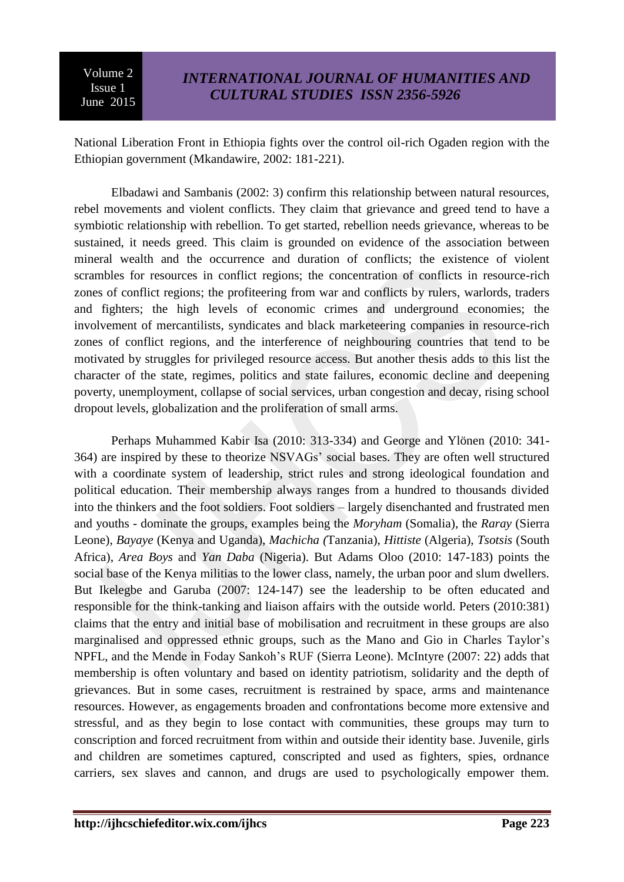National Liberation Front in Ethiopia fights over the control oil-rich Ogaden region with the Ethiopian government (Mkandawire, 2002: 181-221).

Elbadawi and Sambanis (2002: 3) confirm this relationship between natural resources, rebel movements and violent conflicts. They claim that grievance and greed tend to have a symbiotic relationship with rebellion. To get started, rebellion needs grievance, whereas to be sustained, it needs greed. This claim is grounded on evidence of the association between mineral wealth and the occurrence and duration of conflicts; the existence of violent scrambles for resources in conflict regions; the concentration of conflicts in resource-rich zones of conflict regions; the profiteering from war and conflicts by rulers, warlords, traders and fighters; the high levels of economic crimes and underground economies; the involvement of mercantilists, syndicates and black marketeering companies in resource-rich zones of conflict regions, and the interference of neighbouring countries that tend to be motivated by struggles for privileged resource access. But another thesis adds to this list the character of the state, regimes, politics and state failures, economic decline and deepening poverty, unemployment, collapse of social services, urban congestion and decay, rising school dropout levels, globalization and the proliferation of small arms.

Perhaps Muhammed Kabir Isa (2010: 313-334) and George and Ylönen (2010: 341- 364) are inspired by these to theorize NSVAGs' social bases. They are often well structured with a coordinate system of leadership, strict rules and strong ideological foundation and political education. Their membership always ranges from a hundred to thousands divided into the thinkers and the foot soldiers. Foot soldiers – largely disenchanted and frustrated men and youths - dominate the groups, examples being the *Moryham* (Somalia), the *Raray* (Sierra Leone), *Bayaye* (Kenya and Uganda), *Machicha (*Tanzania), *Hittiste* (Algeria), *Tsotsis* (South Africa), *Area Boys* and *Yan Daba* (Nigeria). But Adams Oloo (2010: 147-183) points the social base of the Kenya militias to the lower class, namely, the urban poor and slum dwellers. But Ikelegbe and Garuba (2007: 124-147) see the leadership to be often educated and responsible for the think-tanking and liaison affairs with the outside world. Peters (2010:381) claims that the entry and initial base of mobilisation and recruitment in these groups are also marginalised and oppressed ethnic groups, such as the Mano and Gio in Charles Taylor's NPFL, and the Mende in Foday Sankoh's RUF (Sierra Leone). McIntyre (2007: 22) adds that membership is often voluntary and based on identity patriotism, solidarity and the depth of grievances. But in some cases, recruitment is restrained by space, arms and maintenance resources. However, as engagements broaden and confrontations become more extensive and stressful, and as they begin to lose contact with communities, these groups may turn to conscription and forced recruitment from within and outside their identity base. Juvenile, girls and children are sometimes captured, conscripted and used as fighters, spies, ordnance carriers, sex slaves and cannon, and drugs are used to psychologically empower them.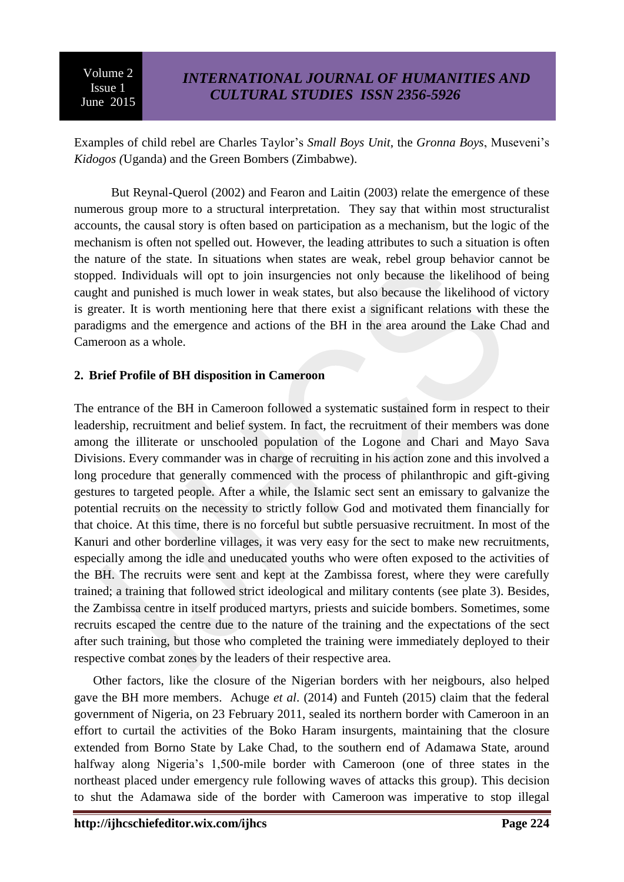Examples of child rebel are Charles Taylor's *Small Boys Unit*, the *Gronna Boys*, Museveni's *Kidogos (*Uganda) and the Green Bombers (Zimbabwe).

But Reynal-Querol (2002) and Fearon and Laitin (2003) relate the emergence of these numerous group more to a structural interpretation. They say that within most structuralist accounts, the causal story is often based on participation as a mechanism, but the logic of the mechanism is often not spelled out. However, the leading attributes to such a situation is often the nature of the state. In situations when states are weak, rebel group behavior cannot be stopped. Individuals will opt to join insurgencies not only because the likelihood of being caught and punished is much lower in weak states, but also because the likelihood of victory is greater. It is worth mentioning here that there exist a significant relations with these the paradigms and the emergence and actions of the BH in the area around the Lake Chad and Cameroon as a whole.

### **2. Brief Profile of BH disposition in Cameroon**

The entrance of the BH in Cameroon followed a systematic sustained form in respect to their leadership, recruitment and belief system. In fact, the recruitment of their members was done among the illiterate or unschooled population of the Logone and Chari and Mayo Sava Divisions. Every commander was in charge of recruiting in his action zone and this involved a long procedure that generally commenced with the process of philanthropic and gift-giving gestures to targeted people. After a while, the Islamic sect sent an emissary to galvanize the potential recruits on the necessity to strictly follow God and motivated them financially for that choice. At this time, there is no forceful but subtle persuasive recruitment. In most of the Kanuri and other borderline villages, it was very easy for the sect to make new recruitments, especially among the idle and uneducated youths who were often exposed to the activities of the BH. The recruits were sent and kept at the Zambissa forest, where they were carefully trained; a training that followed strict ideological and military contents (see plate 3). Besides, the Zambissa centre in itself produced martyrs, priests and suicide bombers. Sometimes, some recruits escaped the centre due to the nature of the training and the expectations of the sect after such training, but those who completed the training were immediately deployed to their respective combat zones by the leaders of their respective area.

Other factors, like the closure of the Nigerian borders with her neigbours, also helped gave the BH more members. Achuge *et al*. (2014) and Funteh (2015) claim that the federal government of Nigeria, on 23 February 2011, sealed its northern border with Cameroon in an effort to curtail the activities of the Boko Haram insurgents, maintaining that the closure extended from Borno State by Lake Chad, to the southern end of Adamawa State, around halfway along Nigeria's 1,500-mile border with Cameroon (one of three states in the northeast placed under emergency rule following waves of attacks this group). This decision to shut the Adamawa side of the border with Cameroon was imperative to stop illegal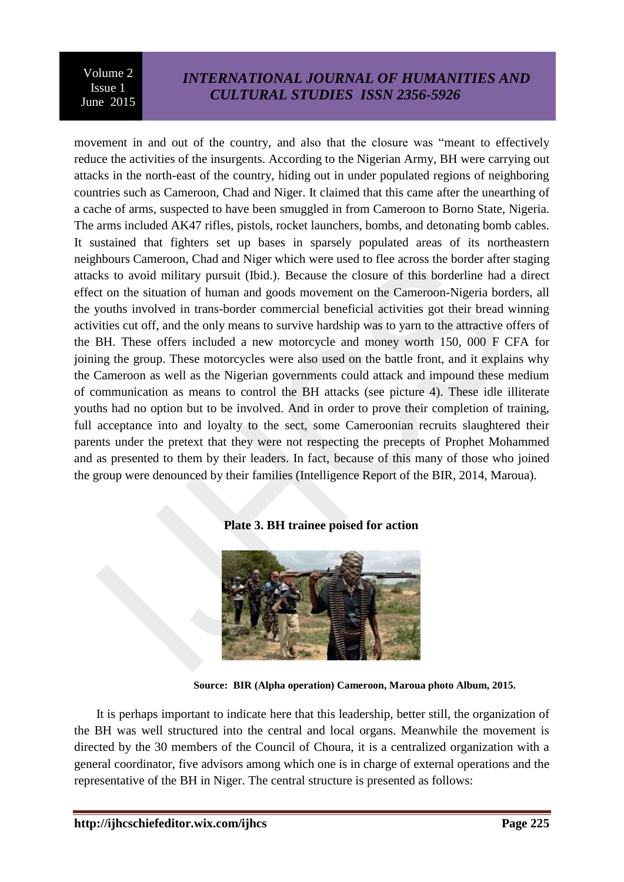## *INTERNATIONAL JOURNAL OF HUMANITIES AND CULTURAL STUDIES ISSN 2356-5926*

movement in and out of the country, and also that the closure was "meant to effectively reduce the activities of the insurgents. According to the Nigerian Army, BH were carrying out attacks in the north-east of the country, hiding out in under populated regions of neighboring countries such as Cameroon, Chad and Niger. It claimed that this came after the unearthing of a cache of arms, suspected to have been smuggled in from Cameroon to Borno State, Nigeria. The arms included AK47 rifles, pistols, rocket launchers, bombs, and detonating bomb cables. It sustained that fighters set up bases in sparsely populated areas of its northeastern neighbours Cameroon, Chad and Niger which were used to flee across the border after staging attacks to avoid military pursuit (Ibid.). Because the closure of this borderline had a direct effect on the situation of human and goods movement on the Cameroon-Nigeria borders, all the youths involved in trans-border commercial beneficial activities got their bread winning activities cut off, and the only means to survive hardship was to yarn to the attractive offers of the BH. These offers included a new motorcycle and money worth 150, 000 F CFA for joining the group. These motorcycles were also used on the battle front, and it explains why the Cameroon as well as the Nigerian governments could attack and impound these medium of communication as means to control the BH attacks (see picture 4). These idle illiterate youths had no option but to be involved. And in order to prove their completion of training, full acceptance into and loyalty to the sect, some Cameroonian recruits slaughtered their parents under the pretext that they were not respecting the precepts of Prophet Mohammed and as presented to them by their leaders. In fact, because of this many of those who joined the group were denounced by their families (Intelligence Report of the BIR, 2014, Maroua).

#### **Plate 3. BH trainee poised for action**



**Source: BIR (Alpha operation) Cameroon, Maroua photo Album, 2015.**

It is perhaps important to indicate here that this leadership, better still, the organization of the BH was well structured into the central and local organs. Meanwhile the movement is directed by the 30 members of the Council of Choura, it is a centralized organization with a general coordinator, five advisors among which one is in charge of external operations and the representative of the BH in Niger. The central structure is presented as follows: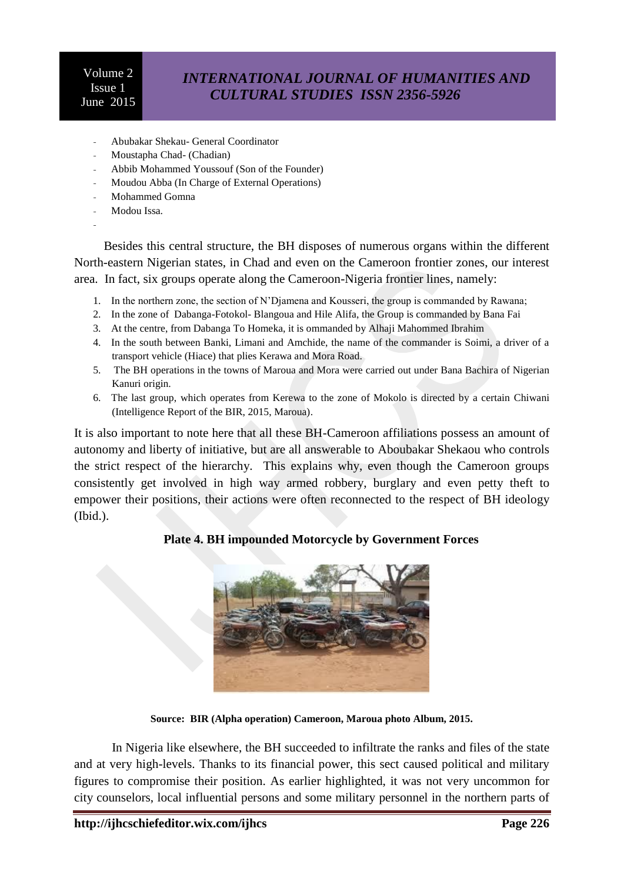## *INTERNATIONAL JOURNAL OF HUMANITIES AND CULTURAL STUDIES ISSN 2356-5926*

- Abubakar Shekau- General Coordinator
- Moustapha Chad- (Chadian)
- Abbib Mohammed Youssouf (Son of the Founder)
- Moudou Abba (In Charge of External Operations)
- Mohammed Gomna
- Modou Issa.
- -

Besides this central structure, the BH disposes of numerous organs within the different North-eastern Nigerian states, in Chad and even on the Cameroon frontier zones, our interest area. In fact, six groups operate along the Cameroon-Nigeria frontier lines, namely:

- 1. In the northern zone, the section of N'Djamena and Kousseri, the group is commanded by Rawana;
- 2. In the zone of Dabanga-Fotokol- Blangoua and Hile Alifa, the Group is commanded by Bana Fai
- 3. At the centre, from Dabanga To Homeka, it is ommanded by Alhaji Mahommed Ibrahim
- 4. In the south between Banki, Limani and Amchide, the name of the commander is Soimi, a driver of a transport vehicle (Hiace) that plies Kerawa and Mora Road.
- 5. The BH operations in the towns of Maroua and Mora were carried out under Bana Bachira of Nigerian Kanuri origin.
- 6. The last group, which operates from Kerewa to the zone of Mokolo is directed by a certain Chiwani (Intelligence Report of the BIR, 2015, Maroua).

It is also important to note here that all these BH-Cameroon affiliations possess an amount of autonomy and liberty of initiative, but are all answerable to Aboubakar Shekaou who controls the strict respect of the hierarchy. This explains why, even though the Cameroon groups consistently get involved in high way armed robbery, burglary and even petty theft to empower their positions, their actions were often reconnected to the respect of BH ideology (Ibid.).

### **Plate 4. BH impounded Motorcycle by Government Forces**



**Source: BIR (Alpha operation) Cameroon, Maroua photo Album, 2015.**

In Nigeria like elsewhere, the BH succeeded to infiltrate the ranks and files of the state and at very high-levels. Thanks to its financial power, this sect caused political and military figures to compromise their position. As earlier highlighted, it was not very uncommon for city counselors, local influential persons and some military personnel in the northern parts of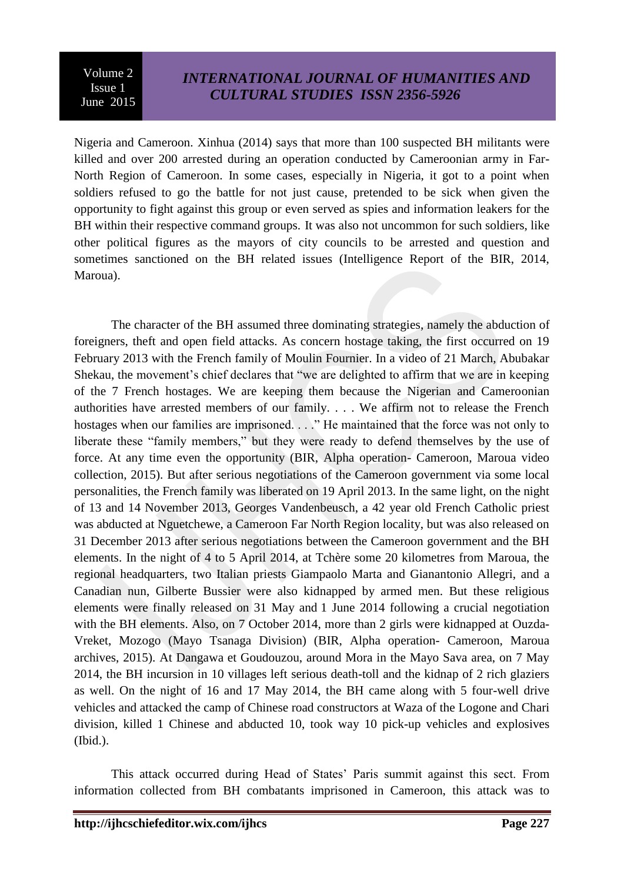Nigeria and Cameroon. Xinhua (2014) says that more than 100 suspected BH militants were killed and over 200 arrested during an operation conducted by Cameroonian army in Far-North Region of Cameroon. In some cases, especially in Nigeria, it got to a point when soldiers refused to go the battle for not just cause, pretended to be sick when given the opportunity to fight against this group or even served as spies and information leakers for the BH within their respective command groups. It was also not uncommon for such soldiers, like other political figures as the mayors of city councils to be arrested and question and sometimes sanctioned on the BH related issues (Intelligence Report of the BIR, 2014, Maroua).

The character of the BH assumed three dominating strategies, namely the abduction of foreigners, theft and open field attacks. As concern hostage taking, the first occurred on 19 February 2013 with the French family of Moulin Fournier. In a video of 21 March, Abubakar Shekau, the movement's chief declares that "we are delighted to affirm that we are in keeping of the 7 French hostages. We are keeping them because the Nigerian and Cameroonian authorities have arrested members of our family. . . . We affirm not to release the French hostages when our families are imprisoned. . . . . " He maintained that the force was not only to liberate these "family members," but they were ready to defend themselves by the use of force. At any time even the opportunity (BIR, Alpha operation- Cameroon, Maroua video collection, 2015). But after serious negotiations of the Cameroon government via some local personalities, the French family was liberated on 19 April 2013. In the same light, on the night of 13 and 14 November 2013, Georges Vandenbeusch, a 42 year old French Catholic priest was abducted at Nguetchewe, a Cameroon Far North Region locality, but was also released on 31 December 2013 after serious negotiations between the Cameroon government and the BH elements. In the night of 4 to 5 April 2014, at Tchère some 20 kilometres from Maroua, the regional headquarters, two Italian priests Giampaolo Marta and Gianantonio Allegri, and a Canadian nun, Gilberte Bussier were also kidnapped by armed men. But these religious elements were finally released on 31 May and 1 June 2014 following a crucial negotiation with the BH elements. Also, on 7 October 2014, more than 2 girls were kidnapped at Ouzda-Vreket, Mozogo (Mayo Tsanaga Division) (BIR, Alpha operation- Cameroon, Maroua archives, 2015). At Dangawa et Goudouzou, around Mora in the Mayo Sava area, on 7 May 2014, the BH incursion in 10 villages left serious death-toll and the kidnap of 2 rich glaziers as well. On the night of 16 and 17 May 2014, the BH came along with 5 four-well drive vehicles and attacked the camp of Chinese road constructors at Waza of the Logone and Chari division, killed 1 Chinese and abducted 10, took way 10 pick-up vehicles and explosives (Ibid.).

This attack occurred during Head of States' Paris summit against this sect. From information collected from BH combatants imprisoned in Cameroon, this attack was to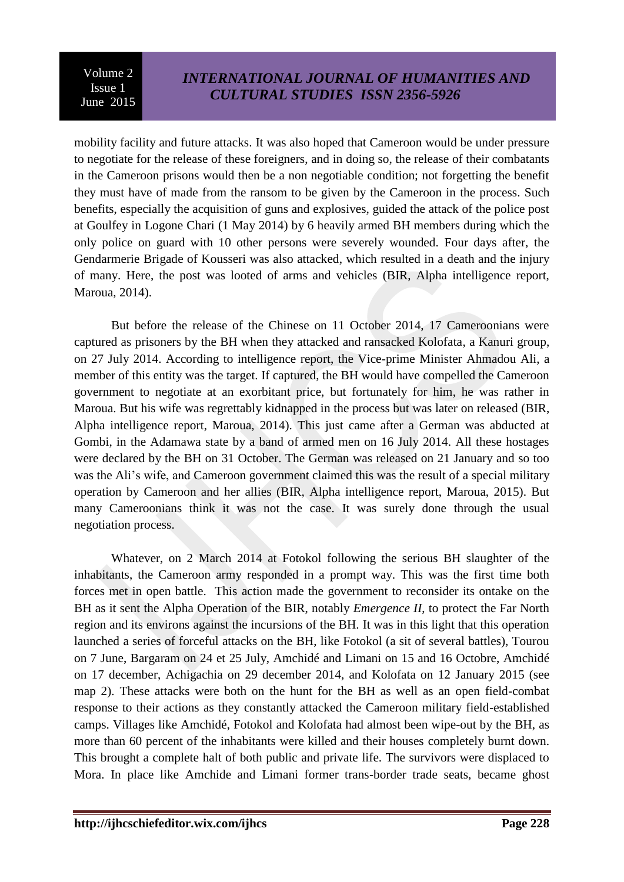mobility facility and future attacks. It was also hoped that Cameroon would be under pressure to negotiate for the release of these foreigners, and in doing so, the release of their combatants in the Cameroon prisons would then be a non negotiable condition; not forgetting the benefit they must have of made from the ransom to be given by the Cameroon in the process. Such benefits, especially the acquisition of guns and explosives, guided the attack of the police post at Goulfey in Logone Chari (1 May 2014) by 6 heavily armed BH members during which the only police on guard with 10 other persons were severely wounded. Four days after, the Gendarmerie Brigade of Kousseri was also attacked, which resulted in a death and the injury of many. Here, the post was looted of arms and vehicles (BIR, Alpha intelligence report, Maroua, 2014).

But before the release of the Chinese on 11 October 2014, 17 Cameroonians were captured as prisoners by the BH when they attacked and ransacked Kolofata, a Kanuri group, on 27 July 2014. According to intelligence report, the Vice-prime Minister Ahmadou Ali, a member of this entity was the target. If captured, the BH would have compelled the Cameroon government to negotiate at an exorbitant price, but fortunately for him, he was rather in Maroua. But his wife was regrettably kidnapped in the process but was later on released (BIR, Alpha intelligence report, Maroua, 2014). This just came after a German was abducted at Gombi, in the Adamawa state by a band of armed men on 16 July 2014. All these hostages were declared by the BH on 31 October. The German was released on 21 January and so too was the Ali's wife, and Cameroon government claimed this was the result of a special military operation by Cameroon and her allies (BIR, Alpha intelligence report, Maroua, 2015). But many Cameroonians think it was not the case. It was surely done through the usual negotiation process.

Whatever, on 2 March 2014 at Fotokol following the serious BH slaughter of the inhabitants, the Cameroon army responded in a prompt way. This was the first time both forces met in open battle. This action made the government to reconsider its ontake on the BH as it sent the Alpha Operation of the BIR, notably *Emergence II*, to protect the Far North region and its environs against the incursions of the BH. It was in this light that this operation launched a series of forceful attacks on the BH, like Fotokol (a sit of several battles), Tourou on 7 June, Bargaram on 24 et 25 July, Amchidé and Limani on 15 and 16 Octobre, Amchidé on 17 december, Achigachia on 29 december 2014, and Kolofata on 12 January 2015 (see map 2). These attacks were both on the hunt for the BH as well as an open field-combat response to their actions as they constantly attacked the Cameroon military field-established camps. Villages like Amchidé, Fotokol and Kolofata had almost been wipe-out by the BH, as more than 60 percent of the inhabitants were killed and their houses completely burnt down. This brought a complete halt of both public and private life. The survivors were displaced to Mora. In place like Amchide and Limani former trans-border trade seats, became ghost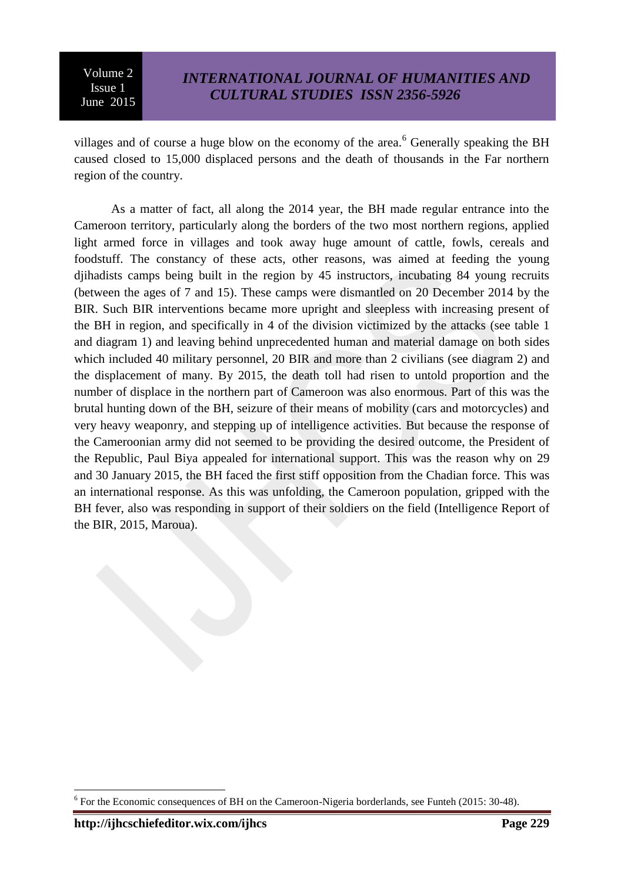villages and of course a huge blow on the economy of the area.<sup>6</sup> Generally speaking the BH caused closed to 15,000 displaced persons and the death of thousands in the Far northern region of the country.

As a matter of fact, all along the 2014 year, the BH made regular entrance into the Cameroon territory, particularly along the borders of the two most northern regions, applied light armed force in villages and took away huge amount of cattle, fowls, cereals and foodstuff. The constancy of these acts, other reasons, was aimed at feeding the young djihadists camps being built in the region by 45 instructors, incubating 84 young recruits (between the ages of 7 and 15). These camps were dismantled on 20 December 2014 by the BIR. Such BIR interventions became more upright and sleepless with increasing present of the BH in region, and specifically in 4 of the division victimized by the attacks (see table 1 and diagram 1) and leaving behind unprecedented human and material damage on both sides which included 40 military personnel, 20 BIR and more than 2 civilians (see diagram 2) and the displacement of many. By 2015, the death toll had risen to untold proportion and the number of displace in the northern part of Cameroon was also enormous. Part of this was the brutal hunting down of the BH, seizure of their means of mobility (cars and motorcycles) and very heavy weaponry, and stepping up of intelligence activities. But because the response of the Cameroonian army did not seemed to be providing the desired outcome, the President of the Republic, Paul Biya appealed for international support. This was the reason why on 29 and 30 January 2015, the BH faced the first stiff opposition from the Chadian force. This was an international response. As this was unfolding, the Cameroon population, gripped with the BH fever, also was responding in support of their soldiers on the field (Intelligence Report of the BIR, 2015, Maroua).

1

 $6$  For the Economic consequences of BH on the Cameroon-Nigeria borderlands, see Funteh (2015: 30-48).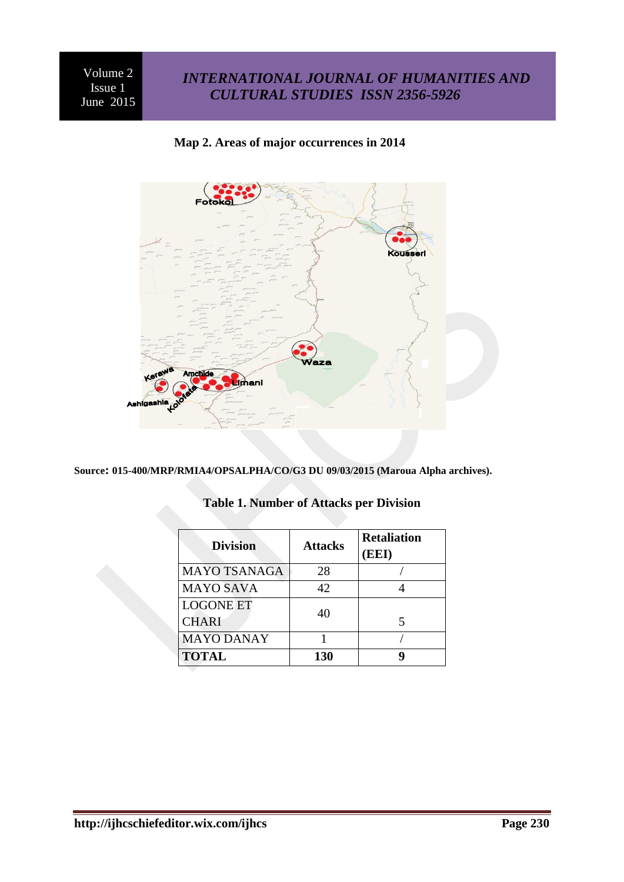## *INTERNATIONAL JOURNAL OF HUMANITIES AND CULTURAL STUDIES ISSN 2356-5926*



#### **Map 2. Areas of major occurrences in 2014**

**Source: 015-400/MRP/RMIA4/OPSALPHA/CO/G3 DU 09/03/2015 (Maroua Alpha archives).**

| <b>Division</b>     | <b>Attacks</b> | <b>Retaliation</b><br>(EEI) |
|---------------------|----------------|-----------------------------|
| <b>MAYO TSANAGA</b> | 28             |                             |
| <b>MAYO SAVA</b>    | 42             |                             |
| <b>LOGONE ET</b>    | 40             |                             |
| <b>CHARI</b>        |                |                             |
| <b>MAYO DANAY</b>   |                |                             |
| <b>TOTAL</b>        | 130            |                             |

### **Table 1. Number of Attacks per Division**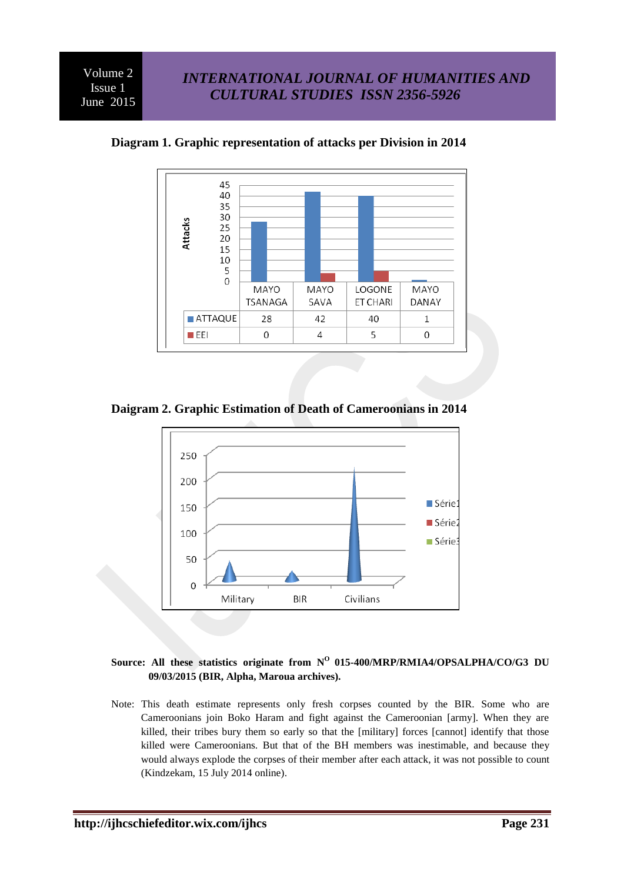

**Diagram 1. Graphic representation of attacks per Division in 2014**

**Daigram 2. Graphic Estimation of Death of Cameroonians in 2014**



#### Source: All these statistics originate from N<sup>O</sup> 015-400/MRP/RMIA4/OPSALPHA/CO/G3 DU **09/03/2015 (BIR, Alpha, Maroua archives).**

Note: This death estimate represents only fresh corpses counted by the BIR. Some who are Cameroonians join Boko Haram and fight against the Cameroonian [army]. When they are killed, their tribes bury them so early so that the [military] forces [cannot] identify that those killed were Cameroonians. But that of the BH members was inestimable, and because they would always explode the corpses of their member after each attack, it was not possible to count (Kindzekam, 15 July 2014 online).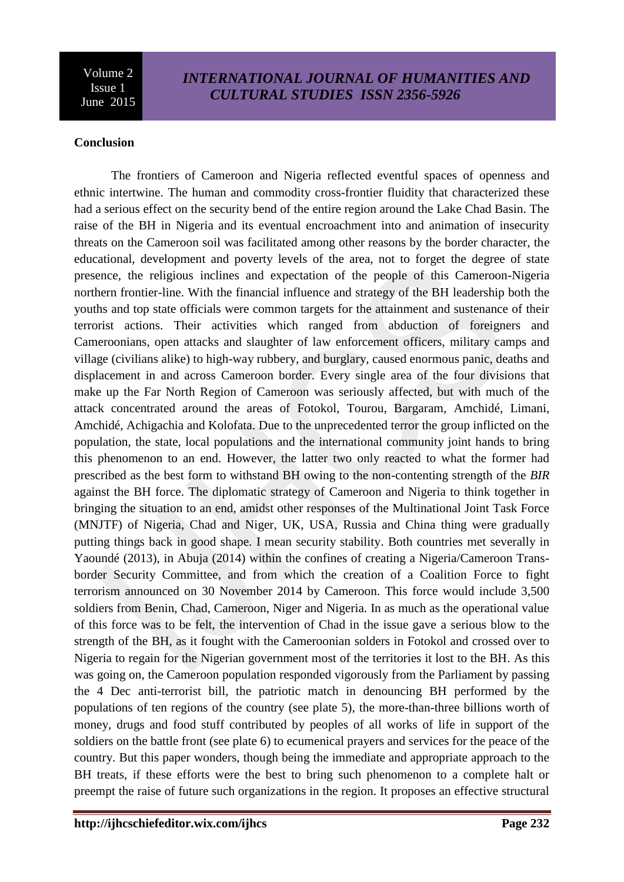### **Conclusion**

The frontiers of Cameroon and Nigeria reflected eventful spaces of openness and ethnic intertwine. The human and commodity cross-frontier fluidity that characterized these had a serious effect on the security bend of the entire region around the Lake Chad Basin. The raise of the BH in Nigeria and its eventual encroachment into and animation of insecurity threats on the Cameroon soil was facilitated among other reasons by the border character, the educational, development and poverty levels of the area, not to forget the degree of state presence, the religious inclines and expectation of the people of this Cameroon-Nigeria northern frontier-line. With the financial influence and strategy of the BH leadership both the youths and top state officials were common targets for the attainment and sustenance of their terrorist actions. Their activities which ranged from abduction of foreigners and Cameroonians, open attacks and slaughter of law enforcement officers, military camps and village (civilians alike) to high-way rubbery, and burglary, caused enormous panic, deaths and displacement in and across Cameroon border. Every single area of the four divisions that make up the Far North Region of Cameroon was seriously affected, but with much of the attack concentrated around the areas of Fotokol, Tourou, Bargaram, Amchidé, Limani, Amchidé, Achigachia and Kolofata. Due to the unprecedented terror the group inflicted on the population, the state, local populations and the international community joint hands to bring this phenomenon to an end. However, the latter two only reacted to what the former had prescribed as the best form to withstand BH owing to the non-contenting strength of the *BIR* against the BH force. The diplomatic strategy of Cameroon and Nigeria to think together in bringing the situation to an end, amidst other responses of the Multinational Joint Task Force (MNJTF) of Nigeria, Chad and Niger, UK, USA, Russia and China thing were gradually putting things back in good shape. I mean security stability. Both countries met severally in Yaoundé (2013), in Abuja (2014) within the confines of creating a Nigeria/Cameroon Transborder Security Committee, and from which the creation of a Coalition Force to fight terrorism announced on 30 November 2014 by Cameroon. This force would include 3,500 soldiers from Benin, Chad, Cameroon, Niger and Nigeria. In as much as the operational value of this force was to be felt, the intervention of Chad in the issue gave a serious blow to the strength of the BH, as it fought with the Cameroonian solders in Fotokol and crossed over to Nigeria to regain for the Nigerian government most of the territories it lost to the BH. As this was going on, the Cameroon population responded vigorously from the Parliament by passing the 4 Dec anti-terrorist bill, the patriotic match in denouncing BH performed by the populations of ten regions of the country (see plate 5), the more-than-three billions worth of money, drugs and food stuff contributed by peoples of all works of life in support of the soldiers on the battle front (see plate 6) to ecumenical prayers and services for the peace of the country. But this paper wonders, though being the immediate and appropriate approach to the BH treats, if these efforts were the best to bring such phenomenon to a complete halt or preempt the raise of future such organizations in the region. It proposes an effective structural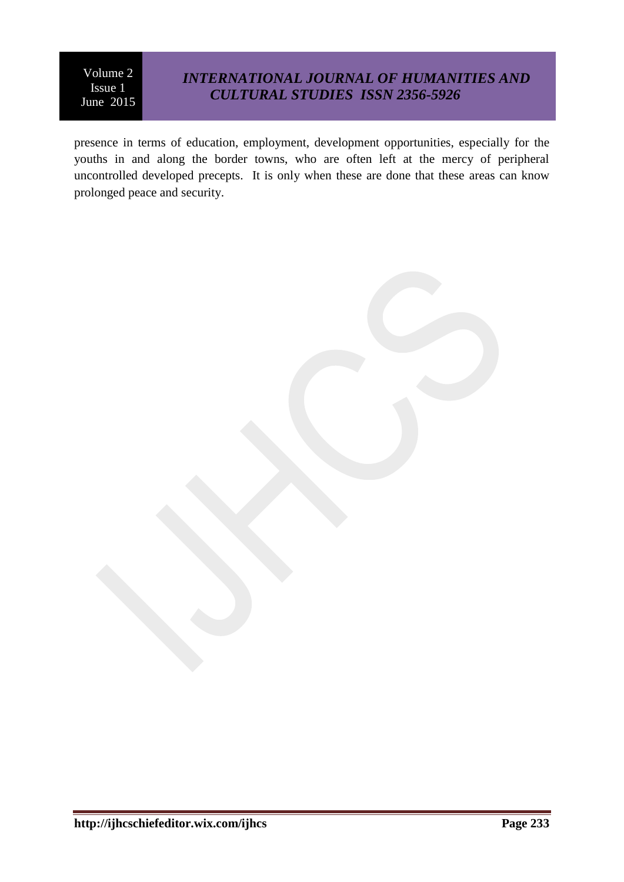## *INTERNATIONAL JOURNAL OF HUMANITIES AND CULTURAL STUDIES ISSN 2356-5926*

presence in terms of education, employment, development opportunities, especially for the youths in and along the border towns, who are often left at the mercy of peripheral uncontrolled developed precepts. It is only when these are done that these areas can know prolonged peace and security.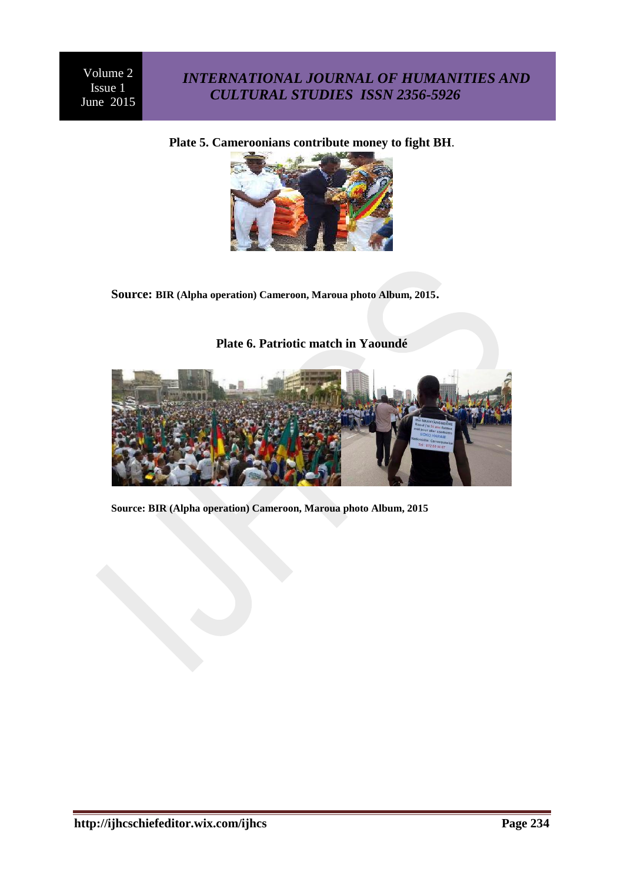## *INTERNATIONAL JOURNAL OF HUMANITIES AND CULTURAL STUDIES ISSN 2356-5926*

**Plate 5. Cameroonians contribute money to fight BH**.



**Source: BIR (Alpha operation) Cameroon, Maroua photo Album, 2015.**

**Plate 6. Patriotic match in Yaoundé**

**Source: BIR (Alpha operation) Cameroon, Maroua photo Album, 2015**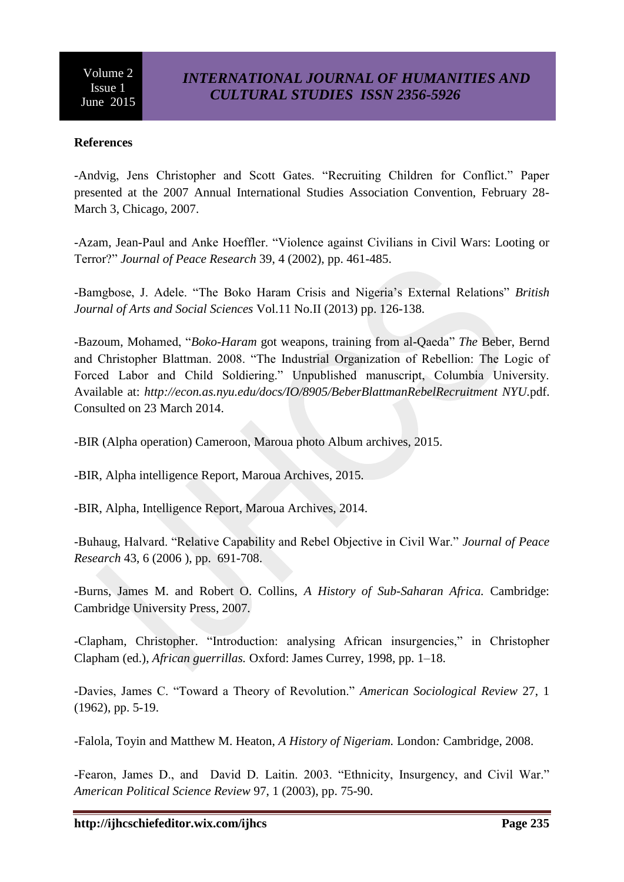### **References**

-Andvig, Jens Christopher and Scott Gates. "Recruiting Children for Conflict." Paper presented at the 2007 Annual International Studies Association Convention, February 28- March 3, Chicago, 2007.

-Azam, Jean-Paul and Anke Hoeffler. "Violence against Civilians in Civil Wars: Looting or Terror?‖ *Journal of Peace Research* 39, 4 (2002), pp. 461-485.

-Bamgbose, J. Adele. "The Boko Haram Crisis and Nigeria's External Relations" *British Journal of Arts and Social Sciences* Vol.11 No.II (2013) pp. 126-138.

-Bazoum, Mohamed, "Boko-Haram got weapons, training from al-Qaeda" The Beber, Bernd and Christopher Blattman. 2008. "The Industrial Organization of Rebellion: The Logic of Forced Labor and Child Soldiering." Unpublished manuscript, Columbia University. Available at: *<http://econ.as.nyu.edu/docs/IO/8905/BeberBlattmanRebelRecruitment> NYU.*pdf. Consulted on 23 March 2014.

-BIR (Alpha operation) Cameroon, Maroua photo Album archives, 2015.

-BIR, Alpha intelligence Report, Maroua Archives, 2015.

-BIR, Alpha, Intelligence Report, Maroua Archives, 2014.

-Buhaug, Halvard. "Relative Capability and Rebel Objective in Civil War." *Journal of Peace Research* 43, 6 (2006 ), pp. 691-708.

-Burns, James M. and Robert O. Collins, *A History of Sub-Saharan Africa.* Cambridge: Cambridge University Press, 2007.

-Clapham, Christopher. "Introduction: analysing African insurgencies," in Christopher Clapham (ed.), *African guerrillas.* Oxford: James Currey, 1998, pp. 1–18.

-Davies, James C. ―Toward a Theory of Revolution.‖ *American Sociological Review* 27, 1 (1962), pp. 5-19.

-Falola, Toyin and Matthew M. Heaton, *A History of Nigeriam.* London*:* Cambridge, 2008.

-Fearon, James D., and David D. Laitin. 2003. "Ethnicity, Insurgency, and Civil War." *American Political Science Review* 97, 1 (2003), pp. 75-90.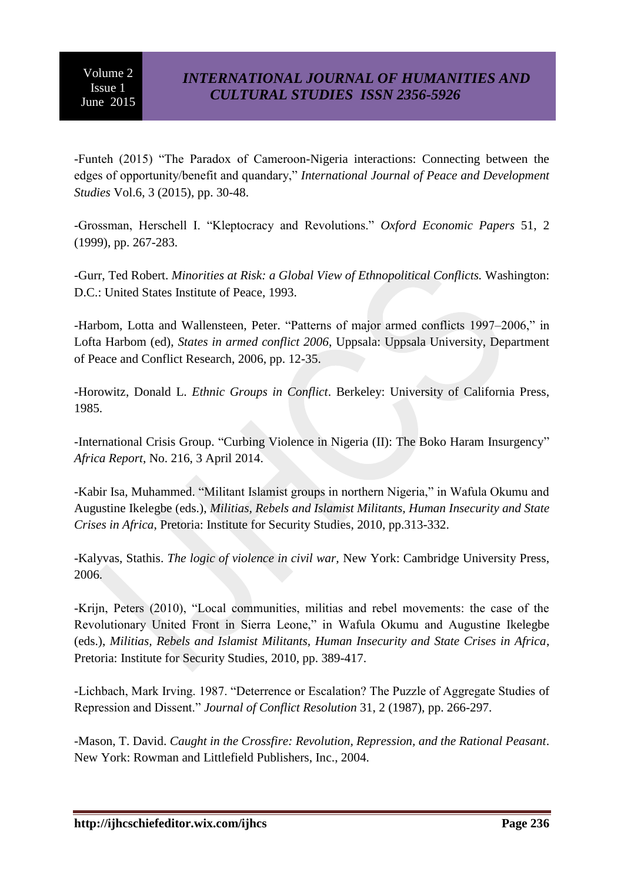-Funteh (2015) ―The Paradox of Cameroon-Nigeria interactions: Connecting between the edges of opportunity/benefit and quandary," *International Journal of Peace and Development Studies* Vol.6, 3 (2015), pp. 30-48.

-Grossman, Herschell I. "Kleptocracy and Revolutions." *Oxford Economic Papers* 51, 2 (1999), pp. 267-283.

-Gurr, Ted Robert. *Minorities at Risk: a Global View of Ethnopolitical Conflicts.* Washington: D.C.: United States Institute of Peace, 1993.

-Harbom, Lotta and Wallensteen, Peter. "Patterns of major armed conflicts 1997–2006," in Lofta Harbom (ed), *States in armed conflict 2006*, Uppsala: Uppsala University, Department of Peace and Conflict Research, 2006, pp. 12-35.

-Horowitz, Donald L. *Ethnic Groups in Conflict*. Berkeley: University of California Press, 1985.

-International Crisis Group. "Curbing Violence in Nigeria (II): The Boko Haram Insurgency" *Africa Report*, No. 216, 3 April 2014.

-Kabir Isa, Muhammed. "Militant Islamist groups in northern Nigeria," in Wafula Okumu and Augustine Ikelegbe (eds.), *Militias, Rebels and Islamist Militants, Human Insecurity and State Crises in Africa*, Pretoria: Institute for Security Studies, 2010, pp.313-332.

-Kalyvas, Stathis. *The logic of violence in civil war,* New York: Cambridge University Press, 2006.

-Krijn, Peters (2010), "Local communities, militias and rebel movements: the case of the Revolutionary United Front in Sierra Leone," in Wafula Okumu and Augustine Ikelegbe (eds.), *Militias, Rebels and Islamist Militants, Human Insecurity and State Crises in Africa*, Pretoria: Institute for Security Studies, 2010, pp. 389-417.

-Lichbach, Mark Irving. 1987. "Deterrence or Escalation? The Puzzle of Aggregate Studies of Repression and Dissent.‖ *Journal of Conflict Resolution* 31, 2 (1987), pp. 266-297.

-Mason, T. David. *Caught in the Crossfire: Revolution, Repression, and the Rational Peasant*. New York: Rowman and Littlefield Publishers, Inc., 2004.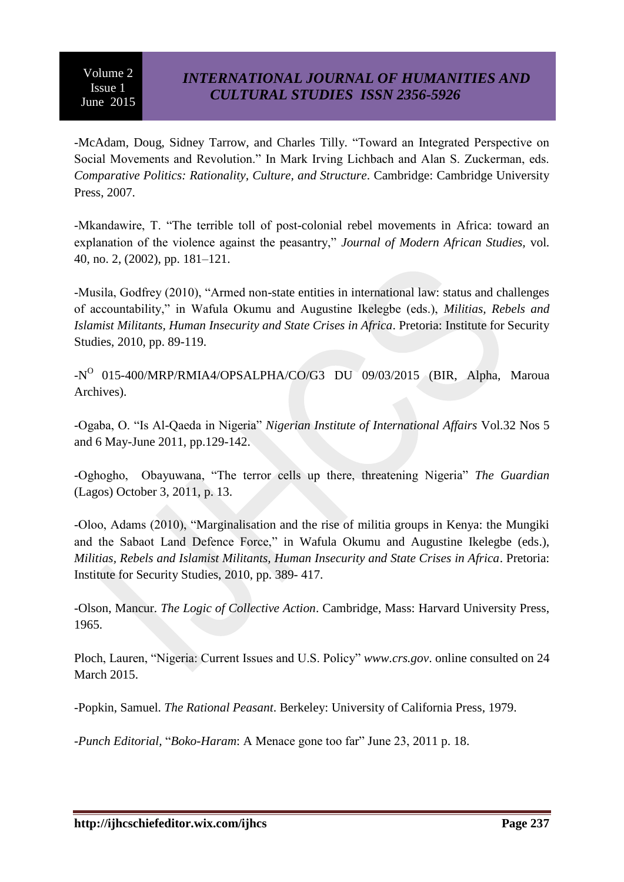-McAdam, Doug, Sidney Tarrow, and Charles Tilly. "Toward an Integrated Perspective on Social Movements and Revolution." In Mark Irving Lichbach and Alan S. Zuckerman, eds. *Comparative Politics: Rationality, Culture, and Structure*. Cambridge: Cambridge University Press, 2007.

-Mkandawire, T. "The terrible toll of post-colonial rebel movements in Africa: toward an explanation of the violence against the peasantry," *Journal of Modern African Studies*, vol. 40, no. 2, (2002), pp. 181–121.

-Musila, Godfrey (2010), "Armed non-state entities in international law: status and challenges of accountability,‖ in Wafula Okumu and Augustine Ikelegbe (eds.), *Militias, Rebels and Islamist Militants, Human Insecurity and State Crises in Africa*. Pretoria: Institute for Security Studies, 2010, pp. 89-119.

-N<sup>O</sup> 015-400/MRP/RMIA4/OPSALPHA/CO/G3 DU 09/03/2015 (BIR, Alpha, Maroua Archives).

-Ogaba, O. "Is Al-Qaeda in Nigeria" *Nigerian Institute of International Affairs Vol.32* Nos 5 and 6 May-June 2011, pp.129-142.

-Oghogho, Obayuwana, "The terror cells up there, threatening Nigeria" *The Guardian* (Lagos) October 3, 2011, p. 13.

-Oloo, Adams (2010), "Marginalisation and the rise of militia groups in Kenya: the Mungiki and the Sabaot Land Defence Force," in Wafula Okumu and Augustine Ikelegbe (eds.), *Militias, Rebels and Islamist Militants, Human Insecurity and State Crises in Africa*. Pretoria: Institute for Security Studies, 2010, pp. 389- 417.

-Olson, Mancur. *The Logic of Collective Action*. Cambridge, Mass: Harvard University Press, 1965.

Ploch, Lauren, "Nigeria: Current Issues and U.S. Policy" *[www.crs.gov](http://www.crs.gov/).* online consulted on 24 March 2015.

-Popkin, Samuel. *The Rational Peasant*. Berkeley: University of California Press, 1979.

*-Punch Editorial, "Boko-Haram:* A Menace gone too far" June 23, 2011 p. 18.